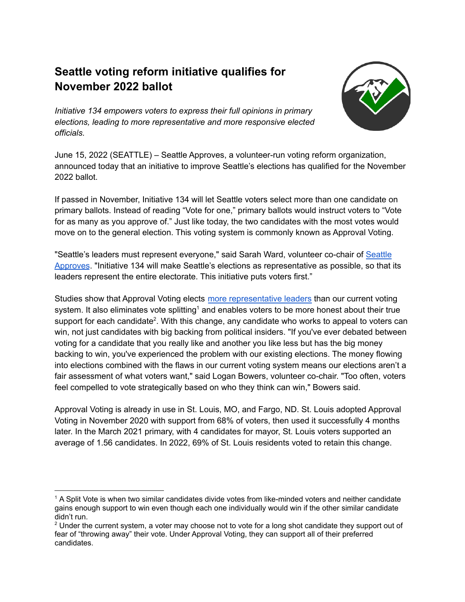## **Seattle voting reform initiative qualifies for November 2022 ballot**



*Initiative 134 empowers voters to express their full opinions in primary elections, leading to more representative and more responsive elected officials.*

June 15, 2022 (SEATTLE) – Seattle Approves, a volunteer-run voting reform organization, announced today that an initiative to improve Seattle's elections has qualified for the November 2022 ballot.

If passed in November, Initiative 134 will let Seattle voters select more than one candidate on primary ballots. Instead of reading "Vote for one," primary ballots would instruct voters to "Vote for as many as you approve of." Just like today, the two candidates with the most votes would move on to the general election. This voting system is commonly known as Approval Voting.

"Seattle's leaders must represent everyone," said Sarah Ward, volunteer co-chair of [Seattle](https://seattleapproves.org/) [Approves](https://seattleapproves.org/). "Initiative 134 will make Seattle's elections as representative as possible, so that its leaders represent the entire electorate. This initiative puts voters first."

Studies show that Approval Voting elects more [representative](https://electionscience.github.io/vse-sim/VSEbasic/) leaders than our current voting system. It also eliminates vote splitting<sup>1</sup> and enables voters to be more honest about their true support for each candidate<sup>2</sup>. With this change, any candidate who works to appeal to voters can win, not just candidates with big backing from political insiders. "If you've ever debated between voting for a candidate that you really like and another you like less but has the big money backing to win, you've experienced the problem with our existing elections. The money flowing into elections combined with the flaws in our current voting system means our elections aren't a fair assessment of what voters want," said Logan Bowers, volunteer co-chair. "Too often, voters feel compelled to vote strategically based on who they think can win," Bowers said.

Approval Voting is already in use in St. Louis, MO, and Fargo, ND. St. Louis adopted Approval Voting in November 2020 with support from 68% of voters, then used it successfully 4 months later. In the March 2021 primary, with 4 candidates for mayor, St. Louis voters supported an average of 1.56 candidates. In 2022, 69% of St. Louis residents voted to retain this change.

<sup>1</sup> A Split Vote is when two similar candidates divide votes from like-minded voters and neither candidate gains enough support to win even though each one individually would win if the other similar candidate didn't run.

<sup>&</sup>lt;sup>2</sup> Under the current system, a voter may choose not to vote for a long shot candidate they support out of fear of "throwing away" their vote. Under Approval Voting, they can support all of their preferred candidates.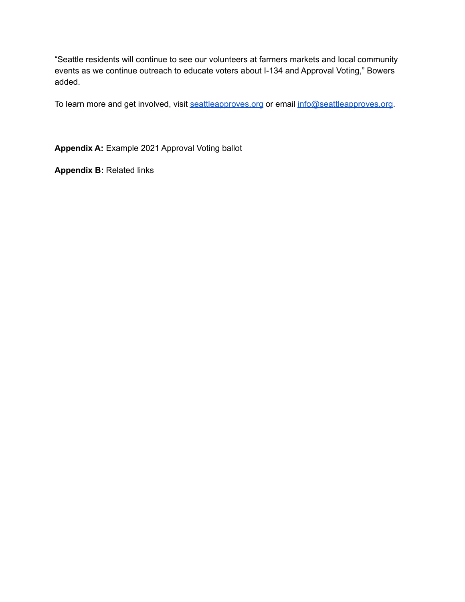"Seattle residents will continue to see our volunteers at farmers markets and local community events as we continue outreach to educate voters about I-134 and Approval Voting," Bowers added.

To learn more and get involved, visit [seattleapproves.org](https://seattleapproves.org/) or email [info@seattleapproves.org.](mailto:info@seattleapproves.org)

**Appendix A:** Example 2021 Approval Voting ballot

**Appendix B:** Related links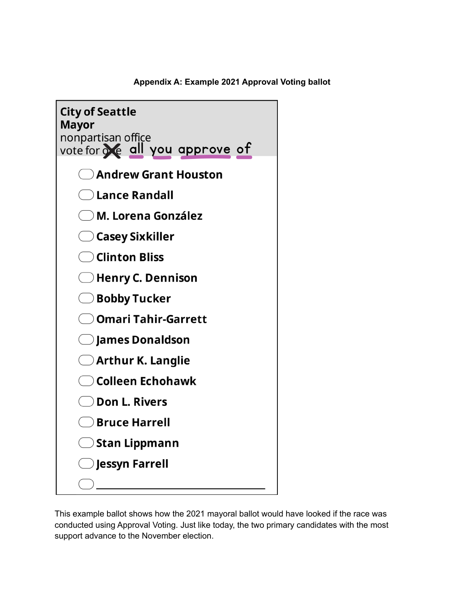

**Appendix A: Example 2021 Approval Voting ballot**

This example ballot shows how the 2021 mayoral ballot would have looked if the race was conducted using Approval Voting. Just like today, the two primary candidates with the most support advance to the November election.